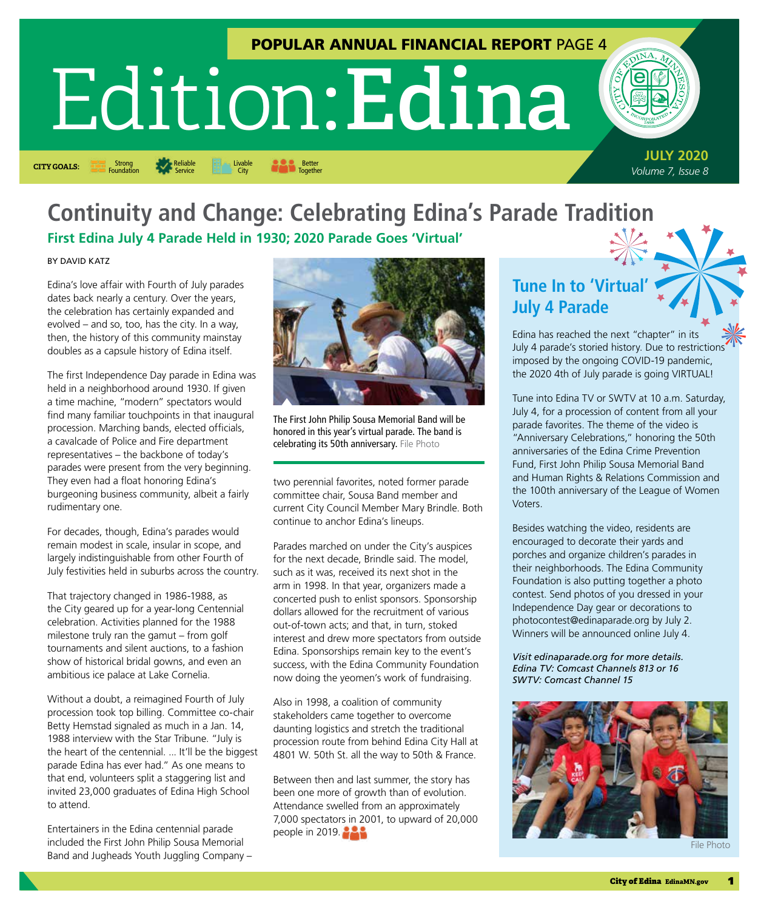## POPULAR ANNUAL FINANCIAL REPORT PAGE 4

# Edition: **Edina**



**CITY GOALS:** Strong **CITY COALS:** Service **CITY COALS:** Service **CITY** City **CITY** Together Livable City

**JULY 2020** *Volume 7, Issue 8* Strong

# **Continuity and Change: Celebrating Edina's Parade Tradition First Edina July 4 Parade Held in 1930; 2020 Parade Goes 'Virtual'**

BY DAVID KATZ

Edina's love affair with Fourth of July parades dates back nearly a century. Over the years, the celebration has certainly expanded and evolved – and so, too, has the city. In a way, then, the history of this community mainstay doubles as a capsule history of Edina itself.

Reliable Service

The first Independence Day parade in Edina was held in a neighborhood around 1930. If given a time machine, "modern" spectators would find many familiar touchpoints in that inaugural procession. Marching bands, elected officials, a cavalcade of Police and Fire department representatives – the backbone of today's parades were present from the very beginning. They even had a float honoring Edina's burgeoning business community, albeit a fairly rudimentary one.

For decades, though, Edina's parades would remain modest in scale, insular in scope, and largely indistinguishable from other Fourth of July festivities held in suburbs across the country.

That trajectory changed in 1986-1988, as the City geared up for a year-long Centennial celebration. Activities planned for the 1988 milestone truly ran the gamut – from golf tournaments and silent auctions, to a fashion show of historical bridal gowns, and even an ambitious ice palace at Lake Cornelia.

Without a doubt, a reimagined Fourth of July procession took top billing. Committee co-chair Betty Hemstad signaled as much in a Jan. 14, 1988 interview with the Star Tribune. "July is the heart of the centennial. ... It'll be the biggest parade Edina has ever had." As one means to that end, volunteers split a staggering list and invited 23,000 graduates of Edina High School to attend.

Entertainers in the Edina centennial parade included the First John Philip Sousa Memorial Band and Jugheads Youth Juggling Company –



The First John Philip Sousa Memorial Band will be honored in this year's virtual parade. The band is celebrating its 50th anniversary. File Photo

two perennial favorites, noted former parade committee chair, Sousa Band member and current City Council Member Mary Brindle. Both continue to anchor Edina's lineups.

Parades marched on under the City's auspices for the next decade, Brindle said. The model, such as it was, received its next shot in the arm in 1998. In that year, organizers made a concerted push to enlist sponsors. Sponsorship dollars allowed for the recruitment of various out-of-town acts; and that, in turn, stoked interest and drew more spectators from outside Edina. Sponsorships remain key to the event's success, with the Edina Community Foundation now doing the yeomen's work of fundraising.

Also in 1998, a coalition of community stakeholders came together to overcome daunting logistics and stretch the traditional procession route from behind Edina City Hall at 4801 W. 50th St. all the way to 50th & France.

Between then and last summer, the story has been one more of growth than of evolution. Attendance swelled from an approximately 7,000 spectators in 2001, to upward of 20,000 people in 2019.

# **Tune In to 'Virtual' July 4 Parade**

Edina has reached the next "chapter" in its July 4 parade's storied history. Due to restrictions imposed by the ongoing COVID-19 pandemic, the 2020 4th of July parade is going VIRTUAL!

Tune into Edina TV or SWTV at 10 a.m. Saturday, July 4, for a procession of content from all your parade favorites. The theme of the video is "Anniversary Celebrations," honoring the 50th anniversaries of the Edina Crime Prevention Fund, First John Philip Sousa Memorial Band and Human Rights & Relations Commission and the 100th anniversary of the League of Women Voters.

Besides watching the video, residents are encouraged to decorate their yards and porches and organize children's parades in their neighborhoods. The Edina Community Foundation is also putting together a photo contest. Send photos of you dressed in your Independence Day gear or decorations to [photocontest@edinaparade.org](mailto:photocontest@edinaparade.org) by July 2. Winners will be announced online July 4.

*Visit [edinaparade.org](http://edinaparade.org) for more details. Edina TV: Comcast Channels 813 or 16 SWTV: Comcast Channel 15*

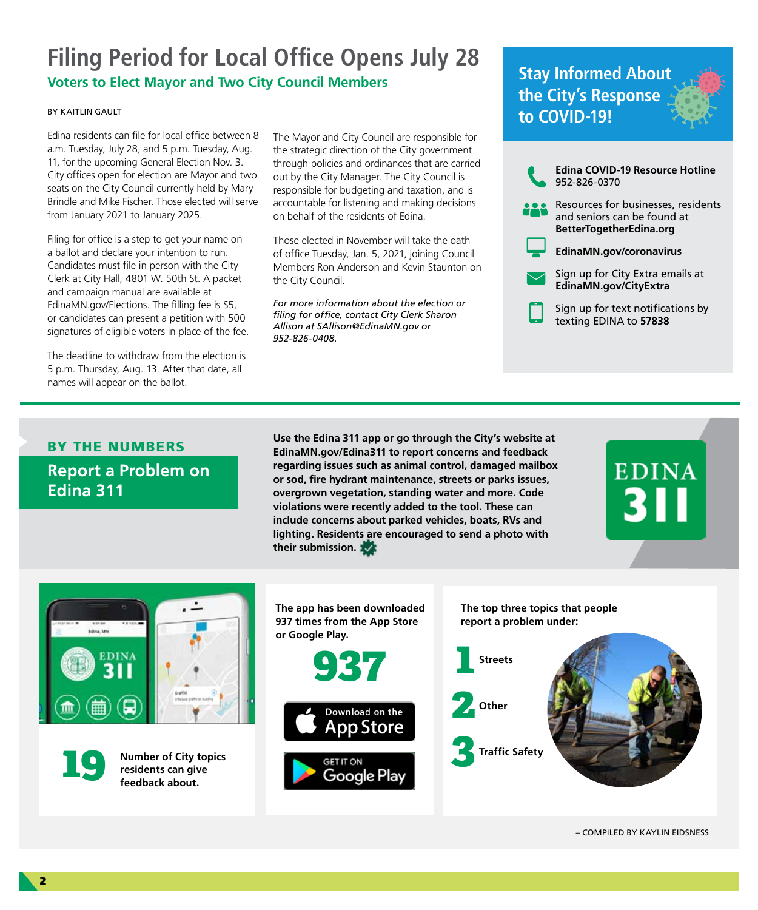# **Filing Period for Local Office Opens July 28**

## **Voters to Elect Mayor and Two City Council Members**

#### BY KAITLIN GAULT

Edina residents can file for local office between 8 a.m. Tuesday, July 28, and 5 p.m. Tuesday, Aug. 11, for the upcoming General Election Nov. 3. City offices open for election are Mayor and two seats on the City Council currently held by Mary Brindle and Mike Fischer. Those elected will serve from January 2021 to January 2025.

Filing for office is a step to get your name on a ballot and declare your intention to run. Candidates must file in person with the City Clerk at City Hall, 4801 W. 50th St. A packet and campaign manual are available at [EdinaMN.gov/Elections.](http://EdinaMN.gov/Elections) The filling fee is \$5, or candidates can present a petition with 500 signatures of eligible voters in place of the fee.

The deadline to withdraw from the election is 5 p.m. Thursday, Aug. 13. After that date, all names will appear on the ballot.

The Mayor and City Council are responsible for the strategic direction of the City government through policies and ordinances that are carried out by the City Manager. The City Council is responsible for budgeting and taxation, and is accountable for listening and making decisions on behalf of the residents of Edina.

Those elected in November will take the oath of office Tuesday, Jan. 5, 2021, joining Council Members Ron Anderson and Kevin Staunton on the City Council.

*For more information about the election or filing for office, contact City Clerk Sharon Allison at [SAllison@EdinaMN.gov](mailto:SAllison@EdinaMN.gov) or 952-826-0408.*

# **Stay Informed About the City's Response to COVID-19!**



Sign up for text notifications by texting EDINA to **57838**

# BY THE NUMBERS **Report a Problem on Edina 311**

**Use the Edina 311 app or go through the City's website at [EdinaMN.gov/Edina311](http://EdinaMN.gov/Edina311) to report concerns and feedback regarding issues such as animal control, damaged mailbox or sod, fire hydrant maintenance, streets or parks issues, overgrown vegetation, standing water and more. Code violations were recently added to the tool. These can include concerns about parked vehicles, boats, RVs and lighting. Residents are encouraged to send a photo with their submission.** 

**EDINA** 



**Number of City topics residents can give feedback about.** 

**The app has been downloaded 937 times from the App Store or Google Play.** 





**The top three topics that people report a problem under:** 



– COMPILED BY KAYLIN EIDSNESS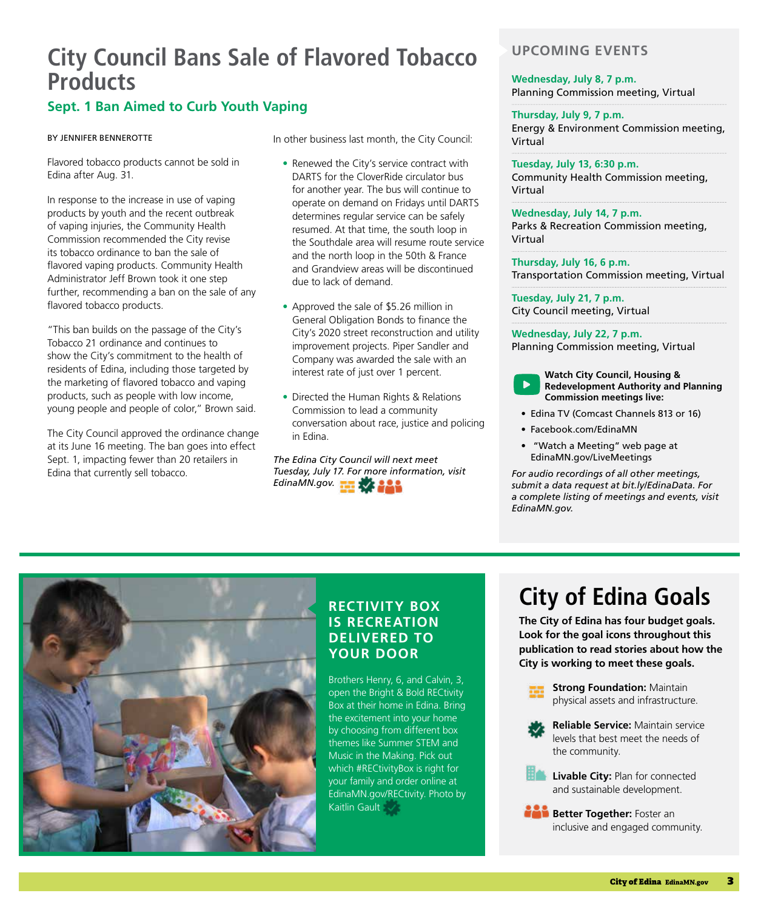# **City Council Bans Sale of Flavored Tobacco Products**

# **Sept. 1 Ban Aimed to Curb Youth Vaping**

#### BY JENNIFER BENNEROTTE

Flavored tobacco products cannot be sold in Edina after Aug. 31.

In response to the increase in use of vaping products by youth and the recent outbreak of vaping injuries, the Community Health Commission recommended the City revise its tobacco ordinance to ban the sale of flavored vaping products. Community Health Administrator Jeff Brown took it one step further, recommending a ban on the sale of any flavored tobacco products.

"This ban builds on the passage of the City's Tobacco 21 ordinance and continues to show the City's commitment to the health of residents of Edina, including those targeted by the marketing of flavored tobacco and vaping products, such as people with low income, young people and people of color," Brown said.

The City Council approved the ordinance change at its June 16 meeting. The ban goes into effect Sept. 1, impacting fewer than 20 retailers in Edina that currently sell tobacco.

In other business last month, the City Council:

- Renewed the City's service contract with DARTS for the CloverRide circulator bus for another year. The bus will continue to operate on demand on Fridays until DARTS determines regular service can be safely resumed. At that time, the south loop in the Southdale area will resume route service and the north loop in the 50th & France and Grandview areas will be discontinued due to lack of demand.
- Approved the sale of \$5.26 million in General Obligation Bonds to finance the City's 2020 street reconstruction and utility improvement projects. Piper Sandler and Company was awarded the sale with an interest rate of just over 1 percent.
- Directed the Human Rights & Relations Commission to lead a community conversation about race, justice and policing in Edina.

*The Edina City Council will next meet [Tuesday, July](http://EdinaMN.gov) 17. For more information, visit EdinaMN.gov.* 

## **UPCOMING EVENTS**

#### **Wednesday, July 8, 7 p.m.** Planning Commission meeting, Virtual

**Thursday, July 9, 7 p.m.** Energy & Environment Commission meeting, Virtual

**Tuesday, July 13, 6:30 p.m.** Community Health Commission meeting, Virtual

**Wednesday, July 14, 7 p.m.** Parks & Recreation Commission meeting, Virtual

**Thursday, July 16, 6 p.m.** Transportation Commission meeting, Virtual

**Tuesday, July 21, 7 p.m.** City Council meeting, Virtual

**Wednesday, July 22, 7 p.m.** Planning Commission meeting, Virtual

**Watch City Council, Housing & Redevelopment Authority and Planning Commission meetings live:**

- Edina TV (Comcast Channels 813 or 16)
- [Facebook.com/EdinaMN](http://Facebook.com/EdinaMN)
- "Watch a Meeting" web page at [EdinaMN.gov/LiveMeetings](http://EdinaMN.gov/LiveMeetings)

*For audio recordings of all other meetings, submit a data request at [bit.ly/EdinaData](http://bit.ly/EdinaData). For a complete listing of meetings and events, visit [EdinaMN.gov](http://EdinaMN.gov).*



## **RECTIVITY BOX IS RECREATION DELIVERED TO YOUR DOOR**

Brothers Henry, 6, and Calvin, 3, open the Bright & Bold RECtivity Box at their home in Edina. Bring the excitement into your home by choosing from different box themes like Summer STEM and Music in the Making. Pick out which #RECtivityBox is right for your family and order online at [EdinaMN.gov/RECtivity](http://EdinaMN.gov/RECtivity). Photo by Kaitlin Gault  $\sim$ 

# **City of Edina Goals**

**The City of Edina has four budget goals. Look for the goal icons throughout this publication to read stories about how the City is working to meet these goals.**



**Reliable Service:** Maintain service levels that best meet the needs of the community.

**Livable City: Plan for connected** and sustainable development.

**Better Together:** Foster an inclusive and engaged community.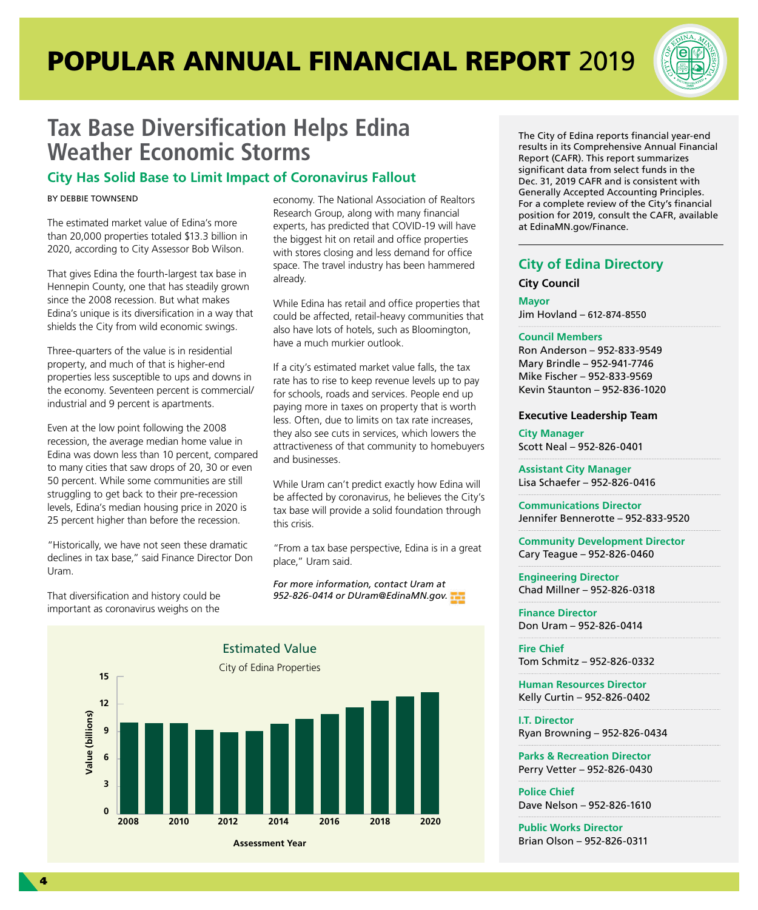# POPULAR ANNUAL FINANCIAL REPORT 2019



# **Tax Base Diversification Helps Edina Weather Economic Storms**

## **City Has Solid Base to Limit Impact of Coronavirus Fallout**

#### BY DEBBIE TOWNSEND

The estimated market value of Edina's more than 20,000 properties totaled \$13.3 billion in 2020, according to City Assessor Bob Wilson.

That gives Edina the fourth-largest tax base in Hennepin County, one that has steadily grown since the 2008 recession. But what makes Edina's unique is its diversification in a way that shields the City from wild economic swings.

Three-quarters of the value is in residential property, and much of that is higher-end properties less susceptible to ups and downs in the economy. Seventeen percent is commercial/ industrial and 9 percent is apartments.

Even at the low point following the 2008 recession, the average median home value in Edina was down less than 10 percent, compared to many cities that saw drops of 20, 30 or even 50 percent. While some communities are still struggling to get back to their pre-recession levels, Edina's median housing price in 2020 is 25 percent higher than before the recession.

"Historically, we have not seen these dramatic declines in tax base," said Finance Director Don Uram.

That diversification and history could be important as coronavirus weighs on the

economy. The National Association of Realtors Research Group, along with many financial experts, has predicted that COVID-19 will have the biggest hit on retail and office properties with stores closing and less demand for office space. The travel industry has been hammered already.

While Edina has retail and office properties that could be affected, retail-heavy communities that also have lots of hotels, such as Bloomington, have a much murkier outlook.

If a city's estimated market value falls, the tax rate has to rise to keep revenue levels up to pay for schools, roads and services. People end up paying more in taxes on property that is worth less. Often, due to limits on tax rate increases, they also see cuts in services, which lowers the attractiveness of that community to homebuyers and businesses.

While Uram can't predict exactly how Edina will be affected by coronavirus, he believes the City's tax base will provide a solid foundation through this crisis.

"From a tax base perspective, Edina is in a great place," Uram said.

*For more information, contact Uram at 952-826-0414 or [DUram@EdinaMN.gov.](mailto:DUram@EdinaMN.gov)*



**Assessment Year**

The City of Edina reports financial year-end results in its Comprehensive Annual Financial Report (CAFR). This report summarizes significant data from select funds in the Dec. 31, 2019 CAFR and is consistent with Generally Accepted Accounting Principles. For a complete review of the City's financial position for 2019, consult the CAFR, available at [EdinaMN.gov/Finance.](http://EdinaMN.gov/Finance)

## **City of Edina Directory**

**City Council**

**Mayor**  Jim Hovland – 612-874-8550

#### **Council Members**

Ron Anderson – 952-833-9549 Mary Brindle – 952-941-7746 Mike Fischer – 952-833-9569 Kevin Staunton – 952-836-1020

#### **Executive Leadership Team**

**City Manager** Scott Neal – 952-826-0401

**Assistant City Manager** Lisa Schaefer – 952-826-0416

**Communications Director** Jennifer Bennerotte – 952-833-9520

**Community Development Director** Cary Teague – 952-826-0460

**Engineering Director** Chad Millner – 952-826-0318

**Finance Director** Don Uram – 952-826-0414

**Fire Chief** Tom Schmitz – 952-826-0332

**Human Resources Director** Kelly Curtin – 952-826-0402

**I.T. Director** Ryan Browning – 952-826-0434

**Parks & Recreation Director** Perry Vetter – 952-826-0430

**Police Chief** Dave Nelson – 952-826-1610

**Public Works Director** Brian Olson – 952-826-0311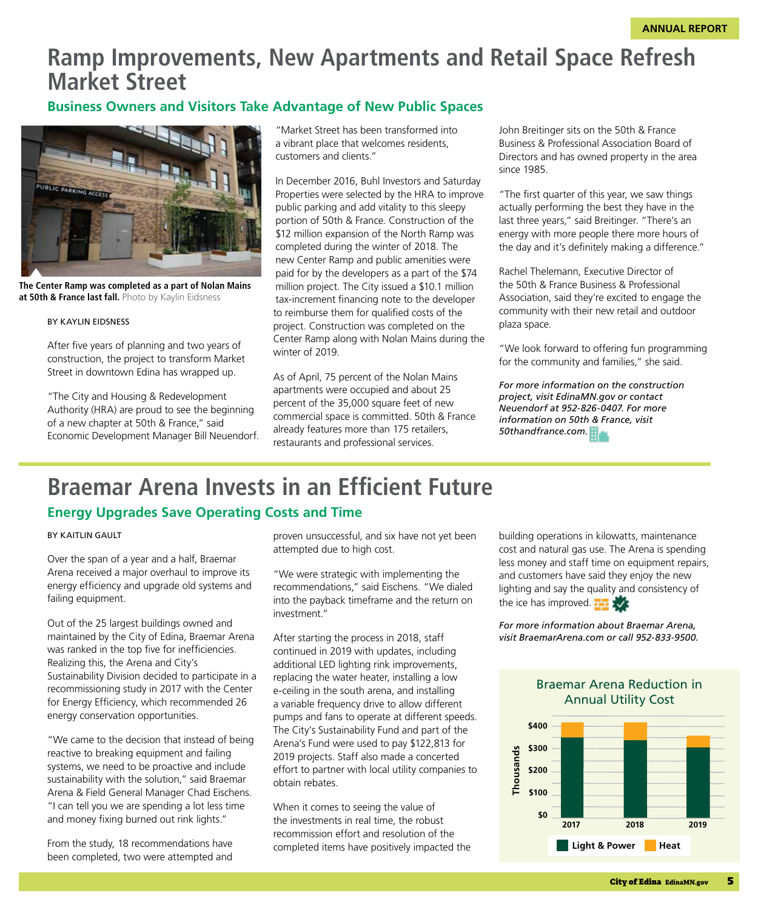# **Ramp Improvements, New Apartments and Retail Space Refresh Market Street**

## **Business Owners and Visitors Take Advantage of New Public Spaces**



**The Center Ramp was completed as a part of Nolan Mains at 50th & France last fall.** Photo by Kaylin Eidsness

#### BY KAYLIN EIDSNESS

After five years of planning and two years of construction, the project to transform Market Street in downtown Edina has wrapped up.

"The City and Housing & Redevelopment Authority (HRA) are proud to see the beginning of a new chapter at 50th & France," said Economic Development Manager Bill Neuendorf. "Market Street has been transformed into a vibrant place that welcomes residents, customers and clients."

In December 2016, Buhl Investors and Saturday Properties were selected by the HRA to improve public parking and add vitality to this sleepy portion of 50th & France. Construction of the \$12 million expansion of the North Ramp was completed during the winter of 2018. The new Center Ramp and public amenities were paid for by the developers as a part of the \$74 million project. The City issued a \$10.1 million tax-increment financing note to the developer to reimburse them for qualified costs of the project. Construction was completed on the Center Ramp along with Nolan Mains during the winter of 2019.

As of April, 75 percent of the Nolan Mains apartments were occupied and about 25 percent of the 35,000 square feet of new commercial space is committed. 50th & France already features more than 175 retailers, restaurants and professional services.

John Breitinger sits on the 50th & France Business & Professional Association Board of Directors and has owned property in the area since 1985.

"The first quarter of this year, we saw things actually performing the best they have in the last three years," said Breitinger. "There's an energy with more people there more hours of the day and it's definitely making a difference."

Rachel Thelemann, Executive Director of the 50th & France Business & Professional Association, said they're excited to engage the community with their new retail and outdoor plaza space.

"We look forward to offering fun programming for the community and families," she said.

*For more information on the construction project, visit [EdinaMN.gov](http://EdinaMN.gov) or contact Neuendorf at 952-826-0407. For more information on 50th & France, visit 5[0thandfrance.com.](http://thandfrance.com)*

# **Braemar Arena Invests in an Efficient Future**

#### **Energy Upgrades Save Operating Costs and Time**

#### BY KAITLIN GAULT

Over the span of a year and a half, Braemar Arena received a major overhaul to improve its energy efficiency and upgrade old systems and failing equipment.

Out of the 25 largest buildings owned and maintained by the City of Edina, Braemar Arena was ranked in the top five for inefficiencies. Realizing this, the Arena and City's Sustainability Division decided to participate in a recommissioning study in 2017 with the Center for Energy Efficiency, which recommended 26 energy conservation opportunities.

"We came to the decision that instead of being reactive to breaking equipment and failing systems, we need to be proactive and include sustainability with the solution," said Braemar Arena & Field General Manager Chad Eischens. "I can tell you we are spending a lot less time and money fixing burned out rink lights."

From the study, 18 recommendations have been completed, two were attempted and proven unsuccessful, and six have not yet been attempted due to high cost.

"We were strategic with implementing the recommendations," said Eischens. "We dialed into the payback timeframe and the return on investment."

After starting the process in 2018, staff continued in 2019 with updates, including additional LED lighting rink improvements, replacing the water heater, installing a low e-ceiling in the south arena, and installing a variable frequency drive to allow different pumps and fans to operate at different speeds. The City's Sustainability Fund and part of the Arena's Fund were used to pay \$122,813 for 2019 projects. Staff also made a concerted effort to partner with local utility companies to obtain rebates.

When it comes to seeing the value of the investments in real time, the robust recommission effort and resolution of the completed items have positively impacted the building operations in kilowatts, maintenance cost and natural gas use. The Arena is spending less money and staff time on equipment repairs, and customers have said they enjoy the new lighting and say the quality and consistency of the ice has improved.

*For more information about Braemar Arena, visit [BraemarArena.com](http://BraemarArena.com) or call 952-833-9500.*



Braemar Arena Reduction in Annual Utility Cost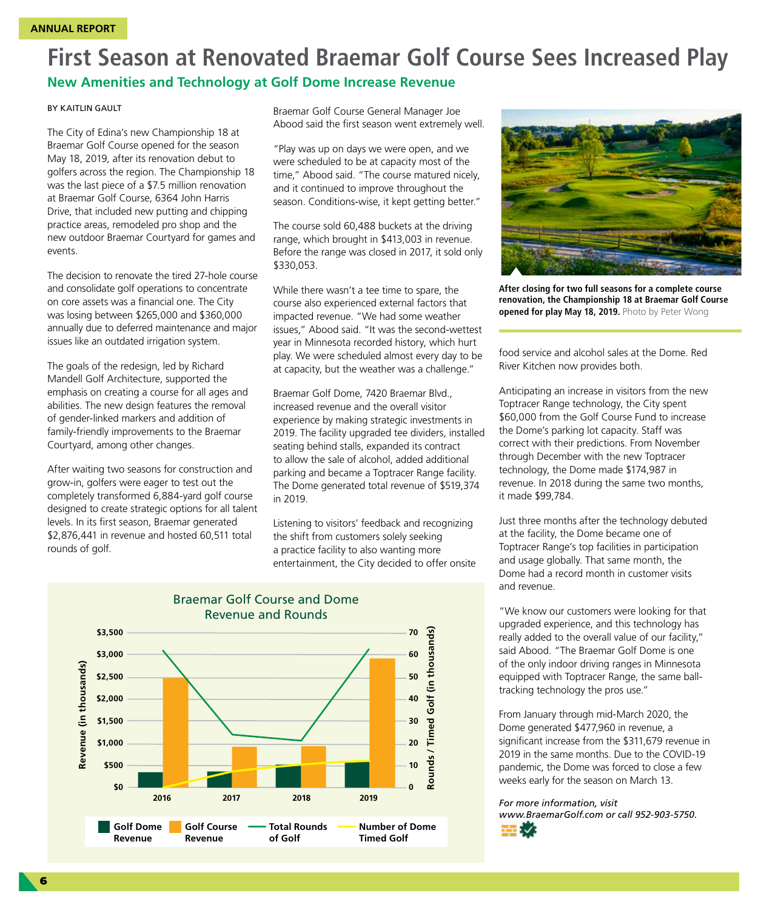# **First Season at Renovated Braemar Golf Course Sees Increased Play**

## **New Amenities and Technology at Golf Dome Increase Revenue**

#### BY KAITLIN GAULT

The City of Edina's new Championship 18 at Braemar Golf Course opened for the season May 18, 2019, after its renovation debut to golfers across the region. The Championship 18 was the last piece of a \$7.5 million renovation at Braemar Golf Course, 6364 John Harris Drive, that included new putting and chipping practice areas, remodeled pro shop and the new outdoor Braemar Courtyard for games and events.

The decision to renovate the tired 27-hole course and consolidate golf operations to concentrate on core assets was a financial one. The City was losing between \$265,000 and \$360,000 annually due to deferred maintenance and major issues like an outdated irrigation system.

The goals of the redesign, led by Richard Mandell Golf Architecture, supported the emphasis on creating a course for all ages and abilities. The new design features the removal of gender-linked markers and addition of family-friendly improvements to the Braemar Courtyard, among other changes.

After waiting two seasons for construction and grow-in, golfers were eager to test out the completely transformed 6,884-yard golf course designed to create strategic options for all talent levels. In its first season, Braemar generated \$2,876,441 in revenue and hosted 60,511 total rounds of golf.

Braemar Golf Course General Manager Joe Abood said the first season went extremely well.

"Play was up on days we were open, and we were scheduled to be at capacity most of the time," Abood said. "The course matured nicely, and it continued to improve throughout the season. Conditions-wise, it kept getting better."

The course sold 60,488 buckets at the driving range, which brought in \$413,003 in revenue. Before the range was closed in 2017, it sold only \$330,053.

While there wasn't a tee time to spare, the course also experienced external factors that impacted revenue. "We had some weather issues," Abood said. "It was the second-wettest year in Minnesota recorded history, which hurt play. We were scheduled almost every day to be at capacity, but the weather was a challenge."

Braemar Golf Dome, 7420 Braemar Blvd., increased revenue and the overall visitor experience by making strategic investments in 2019. The facility upgraded tee dividers, installed seating behind stalls, expanded its contract to allow the sale of alcohol, added additional parking and became a Toptracer Range facility. The Dome generated total revenue of \$519,374 in 2019.

Listening to visitors' feedback and recognizing the shift from customers solely seeking a practice facility to also wanting more entertainment, the City decided to offer onsite





**After closing for two full seasons for a complete course renovation, the Championship 18 at Braemar Golf Course opened for play May 18, 2019.** Photo by Peter Wong

food service and alcohol sales at the Dome. Red River Kitchen now provides both.

Anticipating an increase in visitors from the new Toptracer Range technology, the City spent \$60,000 from the Golf Course Fund to increase the Dome's parking lot capacity. Staff was correct with their predictions. From November through December with the new Toptracer technology, the Dome made \$174,987 in revenue. In 2018 during the same two months, it made \$99,784.

Just three months after the technology debuted at the facility, the Dome became one of Toptracer Range's top facilities in participation and usage globally. That same month, the Dome had a record month in customer visits and revenue.

"We know our customers were looking for that upgraded experience, and this technology has really added to the overall value of our facility," said Abood. "The Braemar Golf Dome is one of the only indoor driving ranges in Minnesota equipped with Toptracer Range, the same balltracking technology the pros use."

From January through mid-March 2020, the Dome generated \$477,960 in revenue, a significant increase from the \$311,679 revenue in 2019 in the same months. Due to the COVID-19 pandemic, the Dome was forced to close a few weeks early for the season on March 13.

*For more information, visit [www.BraemarGolf.com](http://www.BraemarGolf.com) or call 952-903-5750.*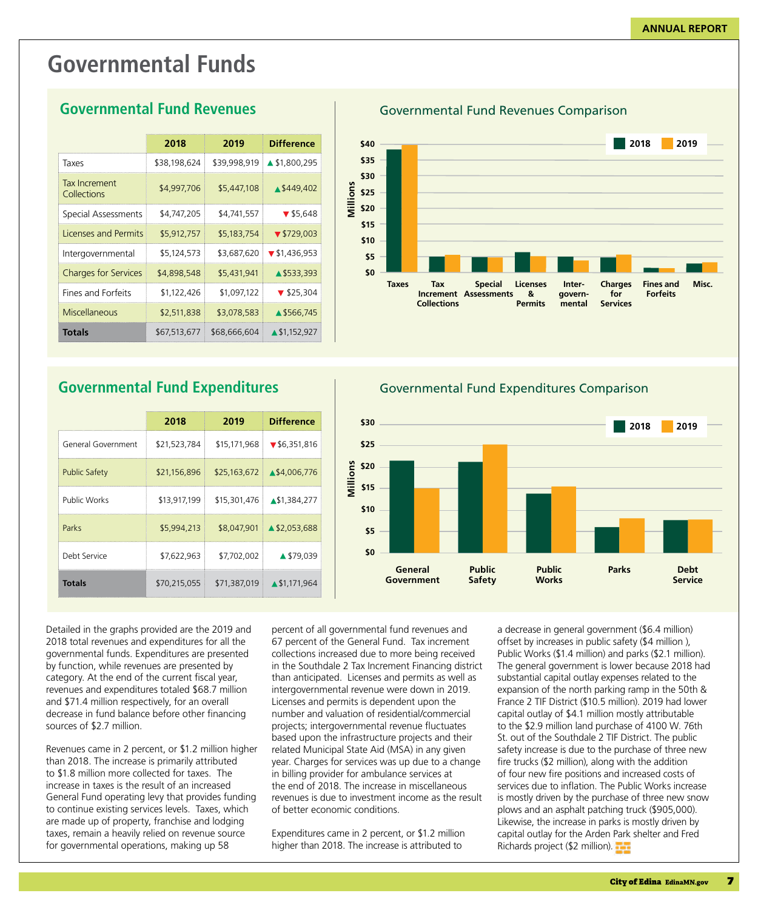# **Governmental Funds**

|                                                                                                                  | 2018 | 2019                                         | 11 P |
|------------------------------------------------------------------------------------------------------------------|------|----------------------------------------------|------|
| Taxes                                                                                                            |      | $$38,198,624$ $$39,998,919$ $\triangle$ \$1, |      |
| The collection of the state of the state of the state of the state of the state of the state of the state of the |      |                                              |      |

# **Governmental Fund Revenues**

| Taxes                        | \$38,198,624 | \$39,998,919 | ▲ \$1,800,295                    |
|------------------------------|--------------|--------------|----------------------------------|
| Tax Increment<br>Collections | \$4,997,706  | \$5,447,108  | ▲ \$449,402                      |
| Special Assessments          | \$4,747,205  | \$4,741,557  | $\blacktriangledown$ \$5.648     |
| Licenses and Permits         | \$5,912,757  | \$5,183,754  | $\blacktriangledown$ \$729.003   |
| Intergovernmental            | \$5,124,573  | \$3,687,620  | $\blacktriangledown$ \$1,436,953 |
| <b>Charges for Services</b>  | \$4,898,548  | \$5,431,941  | ▲ \$533.393                      |
| <b>Fines and Forfeits</b>    | \$1.122.426  | \$1.097.122  | $\blacktriangledown$ \$25,304    |
| Miscellaneous                | \$2,511,838  | \$3,078,583  | ▲ \$566,745                      |
| <b>Totals</b>                | \$67,513,677 | \$68,666,604 | $\triangle$ \$1.152.927          |

**2018 2019 Difference**

# **Governmental Fund Expenditures**

|                      | 2018         | 2019                      | <b>Difference</b>                         |
|----------------------|--------------|---------------------------|-------------------------------------------|
| General Government   | \$21,523,784 |                           | $$15,171,968$ $\triangledown$ \$6,351,816 |
| <b>Public Safety</b> | \$21,156,896 | \$25,163,672 \\$4,006,776 |                                           |
| <b>Public Works</b>  | \$13,917,199 |                           | \$15,301,476 \\$1,384,277                 |
| Parks                | \$5,994,213  |                           | \$8,047,901 1 \$2,053,688                 |
| Debt Service         | \$7,622,963  | \$7,702,002               | ▲ \$79,039                                |
| <b>Totals</b>        | \$70,215,055 |                           | \$71,387,019 \\$1,171,964                 |

Governmental Fund Revenues Comparison



Governmental Fund Expenditures Comparison



Detailed in the graphs provided are the 2019 and 2018 total revenues and expenditures for all the governmental funds. Expenditures are presented by function, while revenues are presented by category. At the end of the current fiscal year, revenues and expenditures totaled \$68.7 million and \$71.4 million respectively, for an overall decrease in fund balance before other financing sources of \$2.7 million.

Revenues came in 2 percent, or \$1.2 million higher than 2018. The increase is primarily attributed to \$1.8 million more collected for taxes. The increase in taxes is the result of an increased General Fund operating levy that provides funding to continue existing services levels. Taxes, which are made up of property, franchise and lodging taxes, remain a heavily relied on revenue source for governmental operations, making up 58

percent of all governmental fund revenues and 67 percent of the General Fund. Tax increment collections increased due to more being received in the Southdale 2 Tax Increment Financing district than anticipated. Licenses and permits as well as intergovernmental revenue were down in 2019. Licenses and permits is dependent upon the number and valuation of residential/commercial projects; intergovernmental revenue fluctuates based upon the infrastructure projects and their related Municipal State Aid (MSA) in any given year. Charges for services was up due to a change in billing provider for ambulance services at the end of 2018. The increase in miscellaneous revenues is due to investment income as the result of better economic conditions.

Expenditures came in 2 percent, or \$1.2 million higher than 2018. The increase is attributed to

a decrease in general government (\$6.4 million) offset by increases in public safety (\$4 million ), Public Works (\$1.4 million) and parks (\$2.1 million). The general government is lower because 2018 had substantial capital outlay expenses related to the expansion of the north parking ramp in the 50th & France 2 TIF District (\$10.5 million). 2019 had lower capital outlay of \$4.1 million mostly attributable to the \$2.9 million land purchase of 4100 W. 76th St. out of the Southdale 2 TIF District. The public safety increase is due to the purchase of three new fire trucks (\$2 million), along with the addition of four new fire positions and increased costs of services due to inflation. The Public Works increase is mostly driven by the purchase of three new snow plows and an asphalt patching truck (\$905,000). Likewise, the increase in parks is mostly driven by capital outlay for the Arden Park shelter and Fred Richards project (\$2 million).